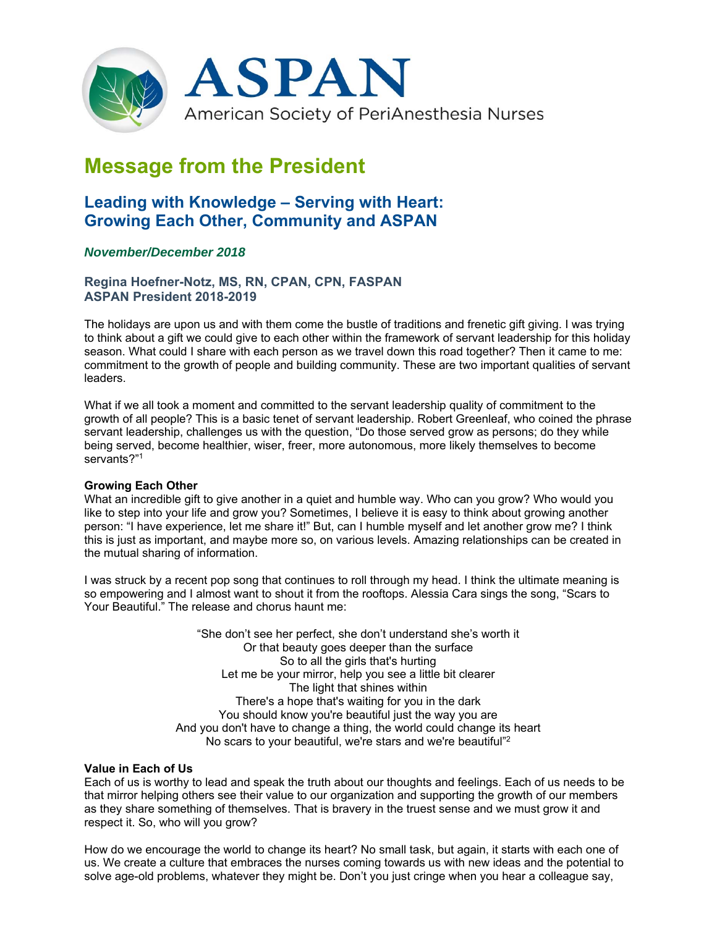

# **Message from the President**

# **Leading with Knowledge – Serving with Heart: Growing Each Other, Community and ASPAN**

# *November/December 2018*

## **Regina Hoefner-Notz, MS, RN, CPAN, CPN, FASPAN ASPAN President 2018-2019**

The holidays are upon us and with them come the bustle of traditions and frenetic gift giving. I was trying to think about a gift we could give to each other within the framework of servant leadership for this holiday season. What could I share with each person as we travel down this road together? Then it came to me: commitment to the growth of people and building community. These are two important qualities of servant leaders.

What if we all took a moment and committed to the servant leadership quality of commitment to the growth of all people? This is a basic tenet of servant leadership. Robert Greenleaf, who coined the phrase servant leadership, challenges us with the question, "Do those served grow as persons; do they while being served, become healthier, wiser, freer, more autonomous, more likely themselves to become servants?"1

### **Growing Each Other**

What an incredible gift to give another in a quiet and humble way. Who can you grow? Who would you like to step into your life and grow you? Sometimes, I believe it is easy to think about growing another person: "I have experience, let me share it!" But, can I humble myself and let another grow me? I think this is just as important, and maybe more so, on various levels. Amazing relationships can be created in the mutual sharing of information.

I was struck by a recent pop song that continues to roll through my head. I think the ultimate meaning is so empowering and I almost want to shout it from the rooftops. Alessia Cara sings the song, "Scars to Your Beautiful." The release and chorus haunt me:

> "She don't see her perfect, she don't understand she's worth it Or that beauty goes deeper than the surface So to all the girls that's hurting Let me be your mirror, help you see a little bit clearer The light that shines within There's a hope that's waiting for you in the dark You should know you're beautiful just the way you are And you don't have to change a thing, the world could change its heart No scars to your beautiful, we're stars and we're beautiful"2

### **Value in Each of Us**

Each of us is worthy to lead and speak the truth about our thoughts and feelings. Each of us needs to be that mirror helping others see their value to our organization and supporting the growth of our members as they share something of themselves. That is bravery in the truest sense and we must grow it and respect it. So, who will you grow?

How do we encourage the world to change its heart? No small task, but again, it starts with each one of us. We create a culture that embraces the nurses coming towards us with new ideas and the potential to solve age-old problems, whatever they might be. Don't you just cringe when you hear a colleague say,